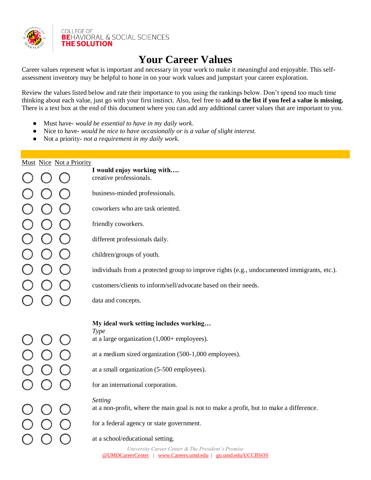

**COLLEGE OF BE**HAVIORAL & SOCIAL SCIENCES **THE SOLUTION** 

# **Your Career Values**

Career values represent what is important and necessary in your work to make it meaningful and enjoyable. This selfassessment inventory may be helpful to hone in on your work values and jumpstart your career exploration.

Review the values listed below and rate their importance to you using the rankings below. Don't spend too much time thinking about each value, just go with your first instinct. Also, feel free to **add to the list if you feel a value is missing.**  There is a text box at the end of this document where you can add any additional career values that are important to you.

- Must have- *would be essential to have in my daily work.*
- Nice to have- *would be nice to have occasionally or is a value of slight interest.*
- Not a priority- *not a requirement in my daily work.*

| Must Nice Not a Priority |  |  |                                                                                                                   |
|--------------------------|--|--|-------------------------------------------------------------------------------------------------------------------|
|                          |  |  | I would enjoy working with<br>creative professionals.                                                             |
|                          |  |  | business-minded professionals.                                                                                    |
|                          |  |  | coworkers who are task oriented.                                                                                  |
|                          |  |  | friendly coworkers.                                                                                               |
|                          |  |  | different professionals daily.                                                                                    |
|                          |  |  | children/groups of youth.                                                                                         |
|                          |  |  | individuals from a protected group to improve rights (e.g., undocumented immigrants, etc.).                       |
|                          |  |  | customers/clients to inform/sell/advocate based on their needs.                                                   |
|                          |  |  | data and concepts.                                                                                                |
|                          |  |  | My ideal work setting includes working                                                                            |
|                          |  |  | Type                                                                                                              |
|                          |  |  | at a large organization $(1,000+$ employees).                                                                     |
|                          |  |  | at a medium sized organization (500-1,000 employees).                                                             |
|                          |  |  | at a small organization (5-500 employees).                                                                        |
|                          |  |  | for an international corporation.                                                                                 |
|                          |  |  | Setting<br>at a non-profit, where the main goal is not to make a profit, but to make a difference.                |
|                          |  |  |                                                                                                                   |
|                          |  |  | for a federal agency or state government.                                                                         |
|                          |  |  | at a school/educational setting.                                                                                  |
|                          |  |  | University Career Center & The President's Promise<br>@UMDCareerCenter   www.Careers.umd.edu   go.umd.edu/UCCBSOS |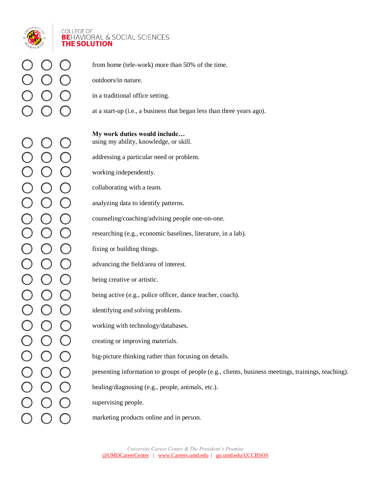

## **COLLEGE OF BE**HAVIORAL & SOCIAL SCIENCES **THE SOLUTION**

 from home (tele-work) more than 50% of the time. outdoors/in nature.  $(\ )$  $\left( \begin{array}{c} \end{array} \right)$  in a traditional office setting. at a start-up (i.e., a business that began less than three years ago).  $\left( \begin{array}{c} \end{array} \right)$  **My work duties would include…** using my ability, knowledge, or skill.  $\mathcal{L}$  $\bigcap$  $\bigcap$  addressing a particular need or problem.  $\left(\begin{array}{c} \end{array}\right)$  $\left( \begin{array}{c} \end{array} \right)$  working independently.  $\bigcap$  $\left( \begin{array}{c} 1 \end{array} \right)$  collaborating with a team.  $\bigcirc$  $\bigcirc$  $\bigcirc$  analyzing data to identify patterns.  $\bigcirc$  counseling/coaching/advising people one-on-one.  $\bigcup$  $\bigcup$  $\bigcap$  $\bigcap$  $\bigcap$  researching (e.g., economic baselines, literature, in a lab).  $\bigcirc$  $\bigcirc$  fixing or building things.  $\bigcirc$  $\bigcirc$  $\left( \begin{array}{c} \end{array} \right)$  advancing the field/area of interest.  $\bigcirc$  $\bigcirc$  $\bigcirc$  being creative or artistic.  $\bigcirc$  $\left( \begin{array}{c} 1 \end{array} \right)$  being active (e.g., police officer, dance teacher, coach).  $\bigcirc$  $\bigcirc$  $\bigcap$  identifying and solving problems.  $\bigcirc$  $\bigcirc$  working with technology/databases.  $\bigcirc$  $\bigcirc$  creating or improving materials.  $\bigcirc$  $\bigcirc$  big-picture thinking rather than focusing on details.  $\bigcirc$  presenting information to groups of people (e.g., clients, business meetings, trainings, teaching).  $\bigcup$  $\bigcirc$  $\bigcap$  healing/diagnosing (e.g., people, animals, etc.).  $\overline{C}$  supervising people. marketing products online and in person.